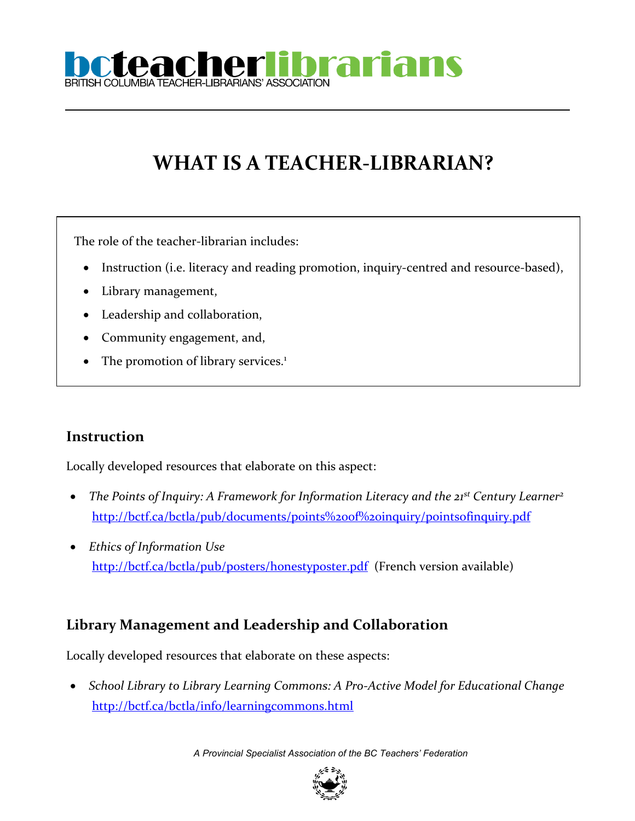

# **WHAT IS A TEACHER-LIBRARIAN?**

The role of the teacher-librarian includes:

- Instruction (i.e. literacy and reading promotion, inquiry-centred and resource-based),
- Library management,
- Leadership and collaboration,
- Community engagement, and,
- The promotion of library services.<sup>1</sup>

#### **Instruction**

Locally developed resources that elaborate on this aspect:

- *The Points of Inquiry: A Framework for Information Literacy and the 21st Century Learner<sup>2</sup>* <http://bctf.ca/bctla/pub/documents/points%20of%20inquiry/pointsofinquiry.pdf>
- *Ethics of Information Use* <http://bctf.ca/bctla/pub/posters/honestyposter.pdf>(French version available)

#### **Library Management and Leadership and Collaboration**

Locally developed resources that elaborate on these aspects:

 *School Library to Library Learning Commons: A Pro-Active Model for Educational Change* <http://bctf.ca/bctla/info/learningcommons.html>

*A Provincial Specialist Association of the BC Teachers' Federation*